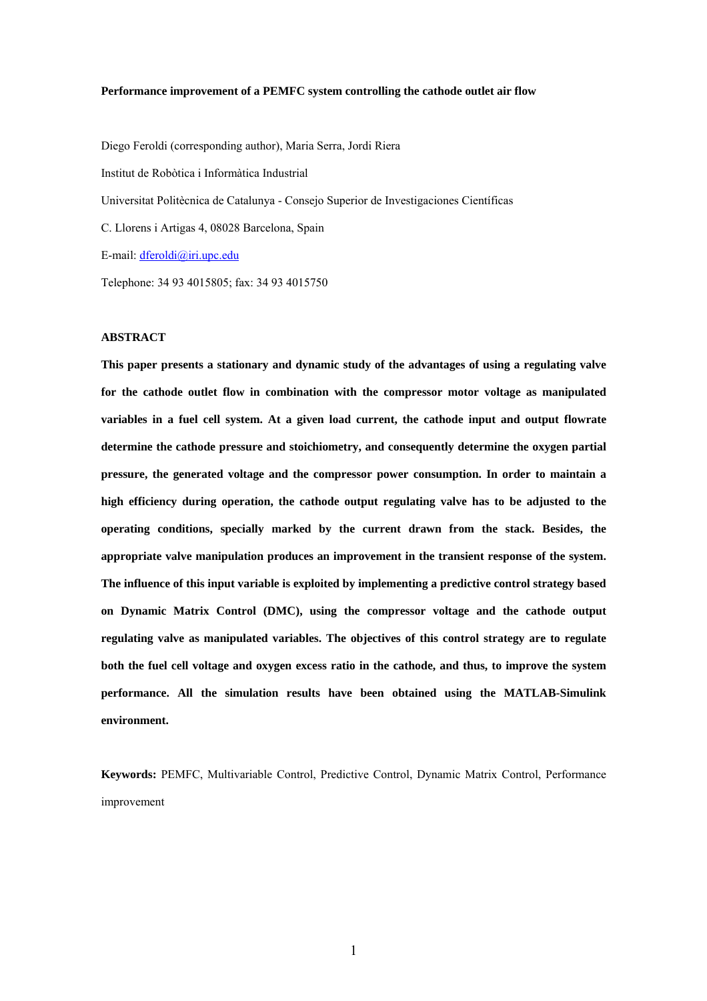#### **Performance improvement of a PEMFC system controlling the cathode outlet air flow**

Diego Feroldi (corresponding author), Maria Serra, Jordi Riera Institut de Robòtica i Informàtica Industrial Universitat Politècnica de Catalunya - Consejo Superior de Investigaciones Científicas C. Llorens i Artigas 4, 08028 Barcelona, Spain E-mail: dferoldi@iri.upc.edu Telephone: 34 93 4015805; fax: 34 93 4015750

#### **ABSTRACT**

**This paper presents a stationary and dynamic study of the advantages of using a regulating valve for the cathode outlet flow in combination with the compressor motor voltage as manipulated variables in a fuel cell system. At a given load current, the cathode input and output flowrate determine the cathode pressure and stoichiometry, and consequently determine the oxygen partial pressure, the generated voltage and the compressor power consumption. In order to maintain a high efficiency during operation, the cathode output regulating valve has to be adjusted to the operating conditions, specially marked by the current drawn from the stack. Besides, the appropriate valve manipulation produces an improvement in the transient response of the system. The influence of this input variable is exploited by implementing a predictive control strategy based on Dynamic Matrix Control (DMC), using the compressor voltage and the cathode output regulating valve as manipulated variables. The objectives of this control strategy are to regulate both the fuel cell voltage and oxygen excess ratio in the cathode, and thus, to improve the system performance. All the simulation results have been obtained using the MATLAB-Simulink environment.** 

**Keywords:** PEMFC, Multivariable Control, Predictive Control, Dynamic Matrix Control, Performance improvement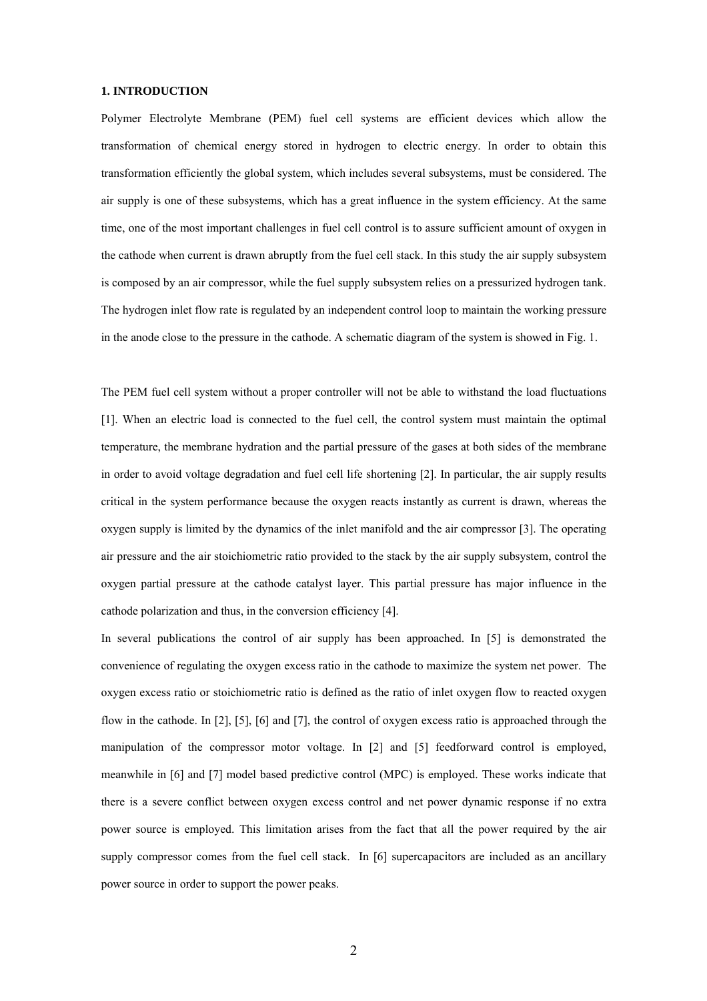#### **1. INTRODUCTION**

Polymer Electrolyte Membrane (PEM) fuel cell systems are efficient devices which allow the transformation of chemical energy stored in hydrogen to electric energy. In order to obtain this transformation efficiently the global system, which includes several subsystems, must be considered. The air supply is one of these subsystems, which has a great influence in the system efficiency. At the same time, one of the most important challenges in fuel cell control is to assure sufficient amount of oxygen in the cathode when current is drawn abruptly from the fuel cell stack. In this study the air supply subsystem is composed by an air compressor, while the fuel supply subsystem relies on a pressurized hydrogen tank. The hydrogen inlet flow rate is regulated by an independent control loop to maintain the working pressure in the anode close to the pressure in the cathode. A schematic diagram of the system is showed in Fig. 1.

The PEM fuel cell system without a proper controller will not be able to withstand the load fluctuations [1]. When an electric load is connected to the fuel cell, the control system must maintain the optimal temperature, the membrane hydration and the partial pressure of the gases at both sides of the membrane in order to avoid voltage degradation and fuel cell life shortening [2]. In particular, the air supply results critical in the system performance because the oxygen reacts instantly as current is drawn, whereas the oxygen supply is limited by the dynamics of the inlet manifold and the air compressor [3]. The operating air pressure and the air stoichiometric ratio provided to the stack by the air supply subsystem, control the oxygen partial pressure at the cathode catalyst layer. This partial pressure has major influence in the cathode polarization and thus, in the conversion efficiency [4].

In several publications the control of air supply has been approached. In [5] is demonstrated the convenience of regulating the oxygen excess ratio in the cathode to maximize the system net power. The oxygen excess ratio or stoichiometric ratio is defined as the ratio of inlet oxygen flow to reacted oxygen flow in the cathode. In [2], [5], [6] and [7], the control of oxygen excess ratio is approached through the manipulation of the compressor motor voltage. In [2] and [5] feedforward control is employed, meanwhile in [6] and [7] model based predictive control (MPC) is employed. These works indicate that there is a severe conflict between oxygen excess control and net power dynamic response if no extra power source is employed. This limitation arises from the fact that all the power required by the air supply compressor comes from the fuel cell stack. In [6] supercapacitors are included as an ancillary power source in order to support the power peaks.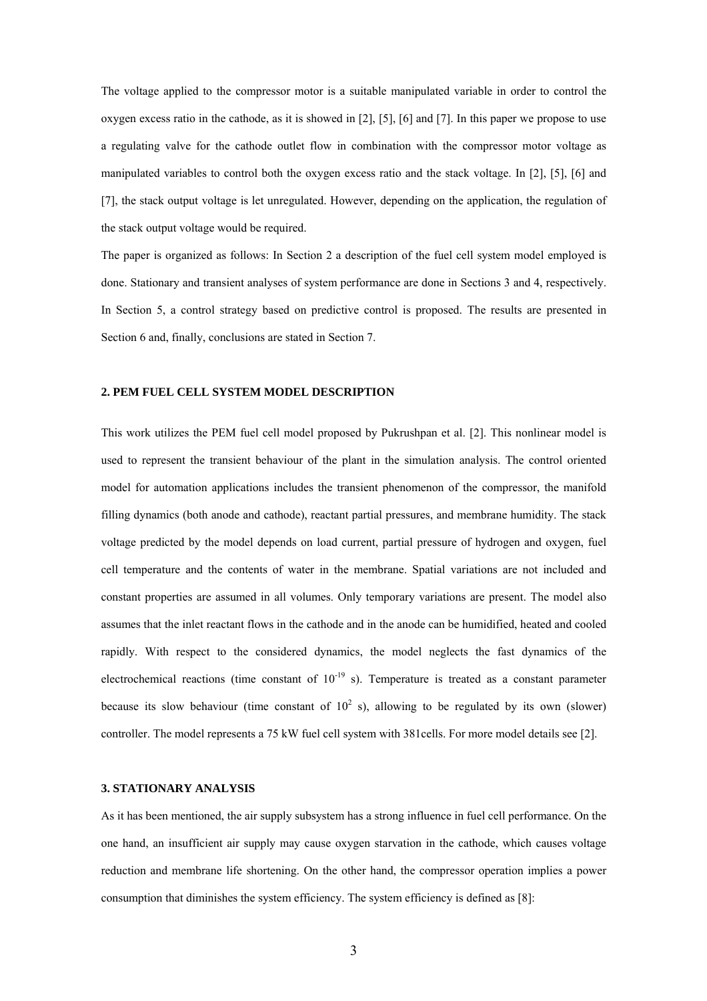The voltage applied to the compressor motor is a suitable manipulated variable in order to control the oxygen excess ratio in the cathode, as it is showed in [2], [5], [6] and [7]. In this paper we propose to use a regulating valve for the cathode outlet flow in combination with the compressor motor voltage as manipulated variables to control both the oxygen excess ratio and the stack voltage. In [2], [5], [6] and [7], the stack output voltage is let unregulated. However, depending on the application, the regulation of the stack output voltage would be required.

The paper is organized as follows: In Section 2 a description of the fuel cell system model employed is done. Stationary and transient analyses of system performance are done in Sections 3 and 4, respectively. In Section 5, a control strategy based on predictive control is proposed. The results are presented in Section 6 and, finally, conclusions are stated in Section 7.

#### **2. PEM FUEL CELL SYSTEM MODEL DESCRIPTION**

This work utilizes the PEM fuel cell model proposed by Pukrushpan et al. [2]. This nonlinear model is used to represent the transient behaviour of the plant in the simulation analysis. The control oriented model for automation applications includes the transient phenomenon of the compressor, the manifold filling dynamics (both anode and cathode), reactant partial pressures, and membrane humidity. The stack voltage predicted by the model depends on load current, partial pressure of hydrogen and oxygen, fuel cell temperature and the contents of water in the membrane. Spatial variations are not included and constant properties are assumed in all volumes. Only temporary variations are present. The model also assumes that the inlet reactant flows in the cathode and in the anode can be humidified, heated and cooled rapidly. With respect to the considered dynamics, the model neglects the fast dynamics of the electrochemical reactions (time constant of  $10^{-19}$  s). Temperature is treated as a constant parameter because its slow behaviour (time constant of  $10^2$  s), allowing to be regulated by its own (slower) controller. The model represents a 75 kW fuel cell system with 381cells. For more model details see [2].

#### **3. STATIONARY ANALYSIS**

As it has been mentioned, the air supply subsystem has a strong influence in fuel cell performance. On the one hand, an insufficient air supply may cause oxygen starvation in the cathode, which causes voltage reduction and membrane life shortening. On the other hand, the compressor operation implies a power consumption that diminishes the system efficiency. The system efficiency is defined as [8]: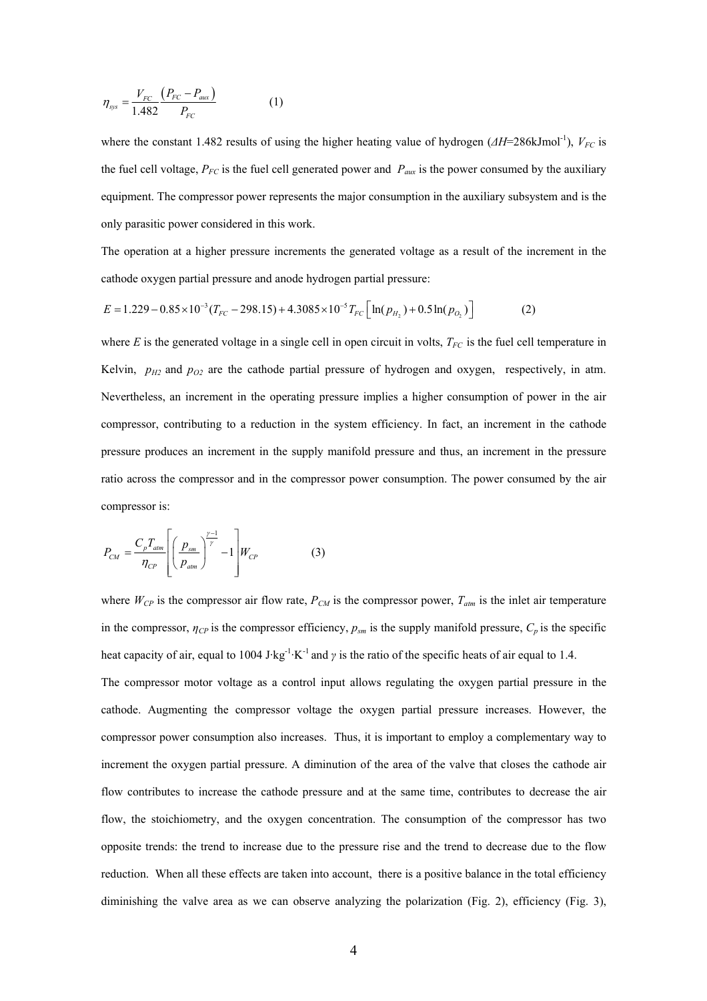$$
\eta_{\rm sys} = \frac{V_{FC}}{1.482} \frac{\left(P_{FC} - P_{\rm aux}\right)}{P_{FC}} \tag{1}
$$

where the constant 1.482 results of using the higher heating value of hydrogen ( $\Delta H$ =286kJmol<sup>-1</sup>), *V<sub>FC</sub>* is the fuel cell voltage,  $P_{FC}$  is the fuel cell generated power and  $P_{aux}$  is the power consumed by the auxiliary equipment. The compressor power represents the major consumption in the auxiliary subsystem and is the only parasitic power considered in this work.

The operation at a higher pressure increments the generated voltage as a result of the increment in the cathode oxygen partial pressure and anode hydrogen partial pressure:

$$
E = 1.229 - 0.85 \times 10^{-3} (T_{FC} - 298.15) + 4.3085 \times 10^{-5} T_{FC} \left[ \ln(p_{H_2}) + 0.5 \ln(p_{O_2}) \right]
$$
 (2)

where  $E$  is the generated voltage in a single cell in open circuit in volts,  $T_{FC}$  is the fuel cell temperature in Kelvin,  $p_{H2}$  and  $p_{O2}$  are the cathode partial pressure of hydrogen and oxygen, respectively, in atm. Nevertheless, an increment in the operating pressure implies a higher consumption of power in the air compressor, contributing to a reduction in the system efficiency. In fact, an increment in the cathode pressure produces an increment in the supply manifold pressure and thus, an increment in the pressure ratio across the compressor and in the compressor power consumption. The power consumed by the air compressor is:

$$
P_{CM} = \frac{C_p T_{atm}}{\eta_{CP}} \left[ \left( \frac{p_{sm}}{p_{atm}} \right)^{\frac{\gamma - 1}{\gamma}} - 1 \right] W_{CP}
$$
 (3)

where  $W_{CP}$  is the compressor air flow rate,  $P_{CM}$  is the compressor power,  $T_{atm}$  is the inlet air temperature in the compressor,  $\eta_{CP}$  is the compressor efficiency,  $p_{sm}$  is the supply manifold pressure,  $C_p$  is the specific heat capacity of air, equal to 1004 J·kg<sup>-1</sup>·K<sup>-1</sup> and  $\gamma$  is the ratio of the specific heats of air equal to 1.4.

The compressor motor voltage as a control input allows regulating the oxygen partial pressure in the cathode. Augmenting the compressor voltage the oxygen partial pressure increases. However, the compressor power consumption also increases. Thus, it is important to employ a complementary way to increment the oxygen partial pressure. A diminution of the area of the valve that closes the cathode air flow contributes to increase the cathode pressure and at the same time, contributes to decrease the air flow, the stoichiometry, and the oxygen concentration. The consumption of the compressor has two opposite trends: the trend to increase due to the pressure rise and the trend to decrease due to the flow reduction. When all these effects are taken into account, there is a positive balance in the total efficiency diminishing the valve area as we can observe analyzing the polarization (Fig. 2), efficiency (Fig. 3),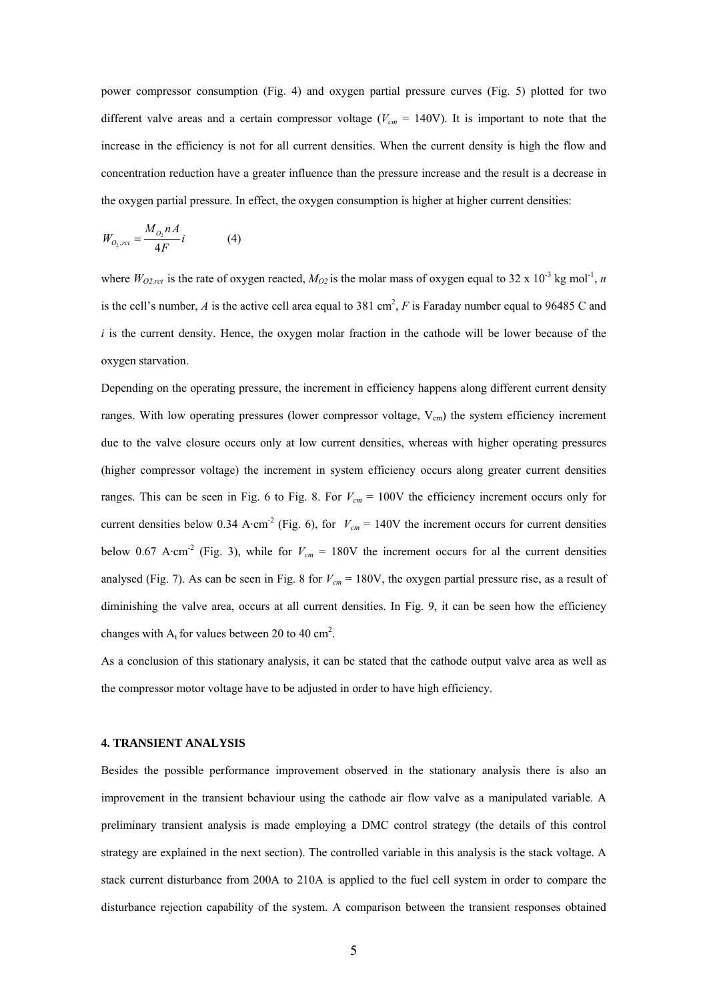power compressor consumption (Fig. 4) and oxygen partial pressure curves (Fig. 5) plotted for two different valve areas and a certain compressor voltage ( $V_{cm}$  = 140V). It is important to note that the increase in the efficiency is not for all current densities. When the current density is high the flow and concentration reduction have a greater influence than the pressure increase and the result is a decrease in the oxygen partial pressure. In effect, the oxygen consumption is higher at higher current densities:

$$
W_{O_2, rct} = \frac{M_{O_2} nA}{4F} i \tag{4}
$$

where  $W_{O2,ret}$  is the rate of oxygen reacted,  $M_{O2}$  is the molar mass of oxygen equal to 32 x 10<sup>-3</sup> kg mol<sup>-1</sup>, *n* is the cell's number, *A* is the active cell area equal to 381 cm<sup>2</sup>, *F* is Faraday number equal to 96485 C and  $i$  is the current density. Hence, the oxygen molar fraction in the cathode will be lower because of the oxygen starvation.

Depending on the operating pressure, the increment in efficiency happens along different current density ranges. With low operating pressures (lower compressor voltage,  $V_{cm}$ ) the system efficiency increment due to the valve closure occurs only at low current densities, whereas with higher operating pressures (higher compressor voltage) the increment in system efficiency occurs along greater current densities ranges. This can be seen in Fig. 6 to Fig. 8. For  $V_{cm} = 100V$  the efficiency increment occurs only for current densities below 0.34 A·cm<sup>-2</sup> (Fig. 6), for  $V_{cm} = 140V$  the increment occurs for current densities below 0.67 A·cm<sup>-2</sup> (Fig. 3), while for  $V_{cm} = 180V$  the increment occurs for al the current densities analysed (Fig. 7). As can be seen in Fig. 8 for  $V_{cm} = 180V$ , the oxygen partial pressure rise, as a result of diminishing the valve area, occurs at all current densities. In Fig. 9, it can be seen how the efficiency changes with  $A_t$  for values between 20 to 40 cm<sup>2</sup>.

As a conclusion of this stationary analysis, it can be stated that the cathode output valve area as well as the compressor motor voltage have to be adjusted in order to have high efficiency.

#### **4. TRANSIENT ANALYSIS**

Besides the possible performance improvement observed in the stationary analysis there is also an improvement in the transient behaviour using the cathode air flow valve as a manipulated variable. A preliminary transient analysis is made employing a DMC control strategy (the details of this control strategy are explained in the next section). The controlled variable in this analysis is the stack voltage. A stack current disturbance from 200A to 210A is applied to the fuel cell system in order to compare the disturbance rejection capability of the system. A comparison between the transient responses obtained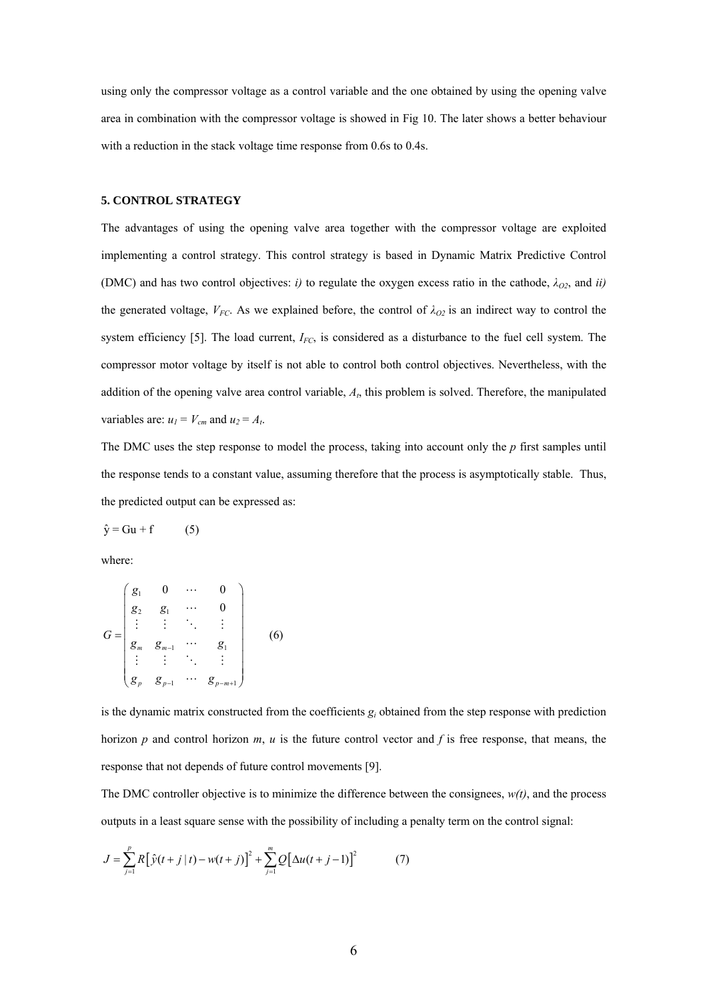using only the compressor voltage as a control variable and the one obtained by using the opening valve area in combination with the compressor voltage is showed in Fig 10. The later shows a better behaviour with a reduction in the stack voltage time response from 0.6s to 0.4s.

## **5. CONTROL STRATEGY**

The advantages of using the opening valve area together with the compressor voltage are exploited implementing a control strategy. This control strategy is based in Dynamic Matrix Predictive Control (DMC) and has two control objectives: *i*) to regulate the oxygen excess ratio in the cathode,  $\lambda_{Q2}$ , and *ii*) the generated voltage,  $V_{FC}$ . As we explained before, the control of  $\lambda_{O2}$  is an indirect way to control the system efficiency [5]. The load current, *I<sub>FC</sub>*, is considered as a disturbance to the fuel cell system. The compressor motor voltage by itself is not able to control both control objectives. Nevertheless, with the addition of the opening valve area control variable, *At*, this problem is solved. Therefore, the manipulated variables are:  $u_1 = V_{cm}$  and  $u_2 = A_t$ .

The DMC uses the step response to model the process, taking into account only the *p* first samples until the response tends to a constant value, assuming therefore that the process is asymptotically stable. Thus, the predicted output can be expressed as:

 $\hat{y} = Gu + f$  (5)

where:

$$
G = \begin{pmatrix} g_1 & 0 & \cdots & 0 \\ g_2 & g_1 & \cdots & 0 \\ \vdots & \vdots & \ddots & \vdots \\ g_m & g_{m-1} & \cdots & g_1 \\ \vdots & \vdots & \ddots & \vdots \\ g_p & g_{p-1} & \cdots & g_{p-m+1} \end{pmatrix}
$$
 (6)

is the dynamic matrix constructed from the coefficients *gi* obtained from the step response with prediction horizon *p* and control horizon *m*, *u* is the future control vector and *f* is free response, that means, the response that not depends of future control movements [9].

The DMC controller objective is to minimize the difference between the consignees,  $w(t)$ , and the process outputs in a least square sense with the possibility of including a penalty term on the control signal:

$$
J = \sum_{j=1}^{p} R \left[ \hat{y}(t+j \mid t) - w(t+j) \right]^2 + \sum_{j=1}^{m} Q \left[ \Delta u(t+j-1) \right]^2 \tag{7}
$$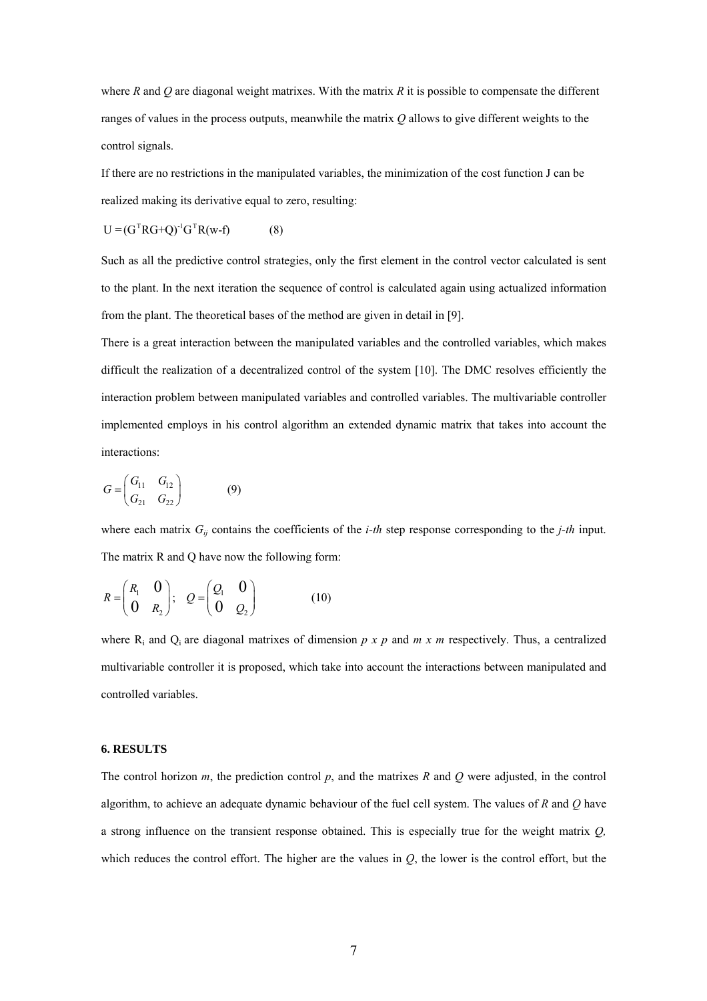where *R* and *Q* are diagonal weight matrixes. With the matrix *R* it is possible to compensate the different ranges of values in the process outputs, meanwhile the matrix *Q* allows to give different weights to the control signals.

If there are no restrictions in the manipulated variables, the minimization of the cost function J can be realized making its derivative equal to zero, resulting:

$$
U = (GT RG + Q)-1GTR(w-f)
$$
 (8)

Such as all the predictive control strategies, only the first element in the control vector calculated is sent to the plant. In the next iteration the sequence of control is calculated again using actualized information from the plant. The theoretical bases of the method are given in detail in [9].

There is a great interaction between the manipulated variables and the controlled variables, which makes difficult the realization of a decentralized control of the system [10]. The DMC resolves efficiently the interaction problem between manipulated variables and controlled variables. The multivariable controller implemented employs in his control algorithm an extended dynamic matrix that takes into account the interactions:

$$
G = \begin{pmatrix} G_{11} & G_{12} \\ G_{21} & G_{22} \end{pmatrix}
$$
 (9)

where each matrix  $G_{ij}$  contains the coefficients of the *i-th* step response corresponding to the *j-th* input. The matrix R and Q have now the following form:

$$
R = \begin{pmatrix} R_1 & 0 \\ 0 & R_2 \end{pmatrix}; \quad Q = \begin{pmatrix} Q_1 & 0 \\ 0 & Q_2 \end{pmatrix} \tag{10}
$$

where  $R_i$  and  $Q_i$  are diagonal matrixes of dimension  $p \times p$  and  $m \times m$  respectively. Thus, a centralized multivariable controller it is proposed, which take into account the interactions between manipulated and controlled variables.

## **6. RESULTS**

The control horizon *m*, the prediction control *p*, and the matrixes *R* and *Q* were adjusted, in the control algorithm, to achieve an adequate dynamic behaviour of the fuel cell system. The values of *R* and *Q* have a strong influence on the transient response obtained. This is especially true for the weight matrix *Q,* which reduces the control effort. The higher are the values in *Q*, the lower is the control effort, but the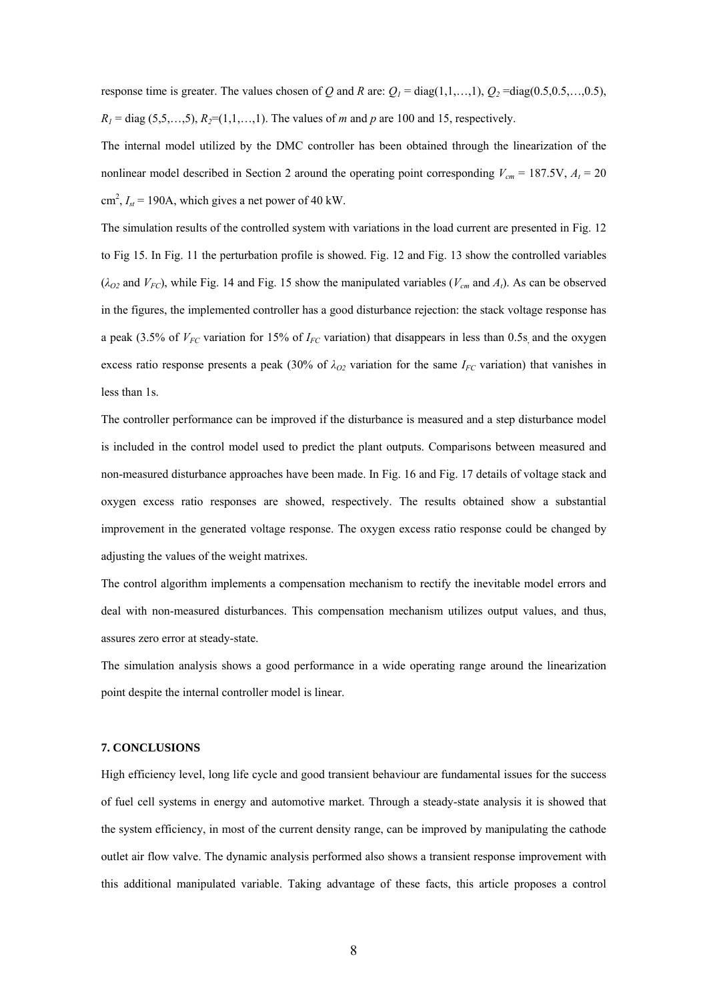response time is greater. The values chosen of *Q* and *R* are:  $Q_1 = \text{diag}(1,1,...,1)$ ,  $Q_2 = \text{diag}(0.5,0.5,...,0.5)$ ,  $R_1 = \text{diag}(5,5,...,5), R_2 = (1,1,...,1)$ . The values of *m* and *p* are 100 and 15, respectively.

The internal model utilized by the DMC controller has been obtained through the linearization of the nonlinear model described in Section 2 around the operating point corresponding  $V_{cm} = 187.5V$ ,  $A_t = 20$  $\text{cm}^2$ ,  $I_{st}$  = 190A, which gives a net power of 40 kW.

The simulation results of the controlled system with variations in the load current are presented in Fig. 12 to Fig 15. In Fig. 11 the perturbation profile is showed. Fig. 12 and Fig. 13 show the controlled variables  $(\lambda_{O2}$  and  $V_{FC}$ ), while Fig. 14 and Fig. 15 show the manipulated variables ( $V_{cm}$  and  $A_t$ ). As can be observed in the figures, the implemented controller has a good disturbance rejection: the stack voltage response has a peak (3.5% of  $V_{FC}$  variation for 15% of  $I_{FC}$  variation) that disappears in less than 0.5s, and the oxygen excess ratio response presents a peak (30% of  $\lambda_{O2}$  variation for the same  $I_{FC}$  variation) that vanishes in less than 1s.

The controller performance can be improved if the disturbance is measured and a step disturbance model is included in the control model used to predict the plant outputs. Comparisons between measured and non-measured disturbance approaches have been made. In Fig. 16 and Fig. 17 details of voltage stack and oxygen excess ratio responses are showed, respectively. The results obtained show a substantial improvement in the generated voltage response. The oxygen excess ratio response could be changed by adjusting the values of the weight matrixes.

The control algorithm implements a compensation mechanism to rectify the inevitable model errors and deal with non-measured disturbances. This compensation mechanism utilizes output values, and thus, assures zero error at steady-state.

The simulation analysis shows a good performance in a wide operating range around the linearization point despite the internal controller model is linear.

### **7. CONCLUSIONS**

High efficiency level, long life cycle and good transient behaviour are fundamental issues for the success of fuel cell systems in energy and automotive market. Through a steady-state analysis it is showed that the system efficiency, in most of the current density range, can be improved by manipulating the cathode outlet air flow valve. The dynamic analysis performed also shows a transient response improvement with this additional manipulated variable. Taking advantage of these facts, this article proposes a control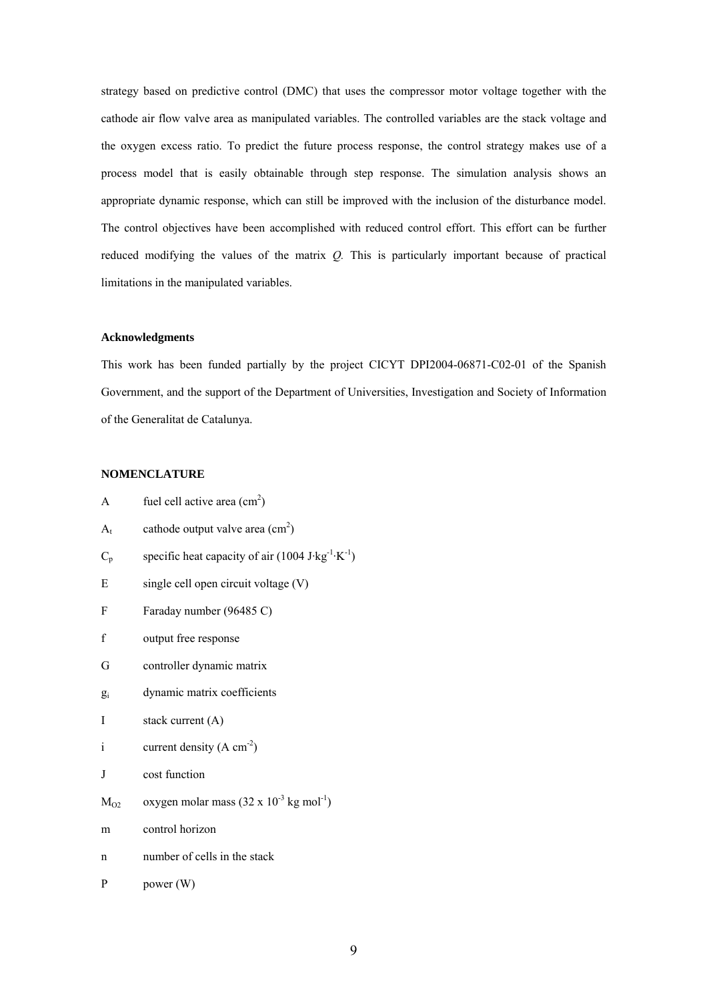strategy based on predictive control (DMC) that uses the compressor motor voltage together with the cathode air flow valve area as manipulated variables. The controlled variables are the stack voltage and the oxygen excess ratio. To predict the future process response, the control strategy makes use of a process model that is easily obtainable through step response. The simulation analysis shows an appropriate dynamic response, which can still be improved with the inclusion of the disturbance model. The control objectives have been accomplished with reduced control effort. This effort can be further reduced modifying the values of the matrix *Q.* This is particularly important because of practical limitations in the manipulated variables.

## **Acknowledgments**

This work has been funded partially by the project CICYT DPI2004-06871-C02-01 of the Spanish Government, and the support of the Department of Universities, Investigation and Society of Information of the Generalitat de Catalunya.

## **NOMENCLATURE**

| A            | fuel cell active area $(cm2)$                                                             |
|--------------|-------------------------------------------------------------------------------------------|
| $A_{t}$      | cathode output valve area $(cm2)$                                                         |
| $C_p$        | specific heat capacity of air $(1004 \text{ J} \cdot \text{kg}^{-1} \cdot \text{K}^{-1})$ |
| Е            | single cell open circuit voltage (V)                                                      |
| F            | Faraday number (96485 C)                                                                  |
| f            | output free response                                                                      |
| G            | controller dynamic matrix                                                                 |
| $g_i$        | dynamic matrix coefficients                                                               |
| I            | stack current (A)                                                                         |
| $\mathbf{i}$ | current density $(A \text{ cm}^{-2})$                                                     |
| J            | cost function                                                                             |
| $M_{O2}$     | oxygen molar mass $(32 \times 10^{-3} \text{ kg mol}^{-1})$                               |
| m            | control horizon                                                                           |
| n            | number of cells in the stack                                                              |
| P            | power (W)                                                                                 |
|              |                                                                                           |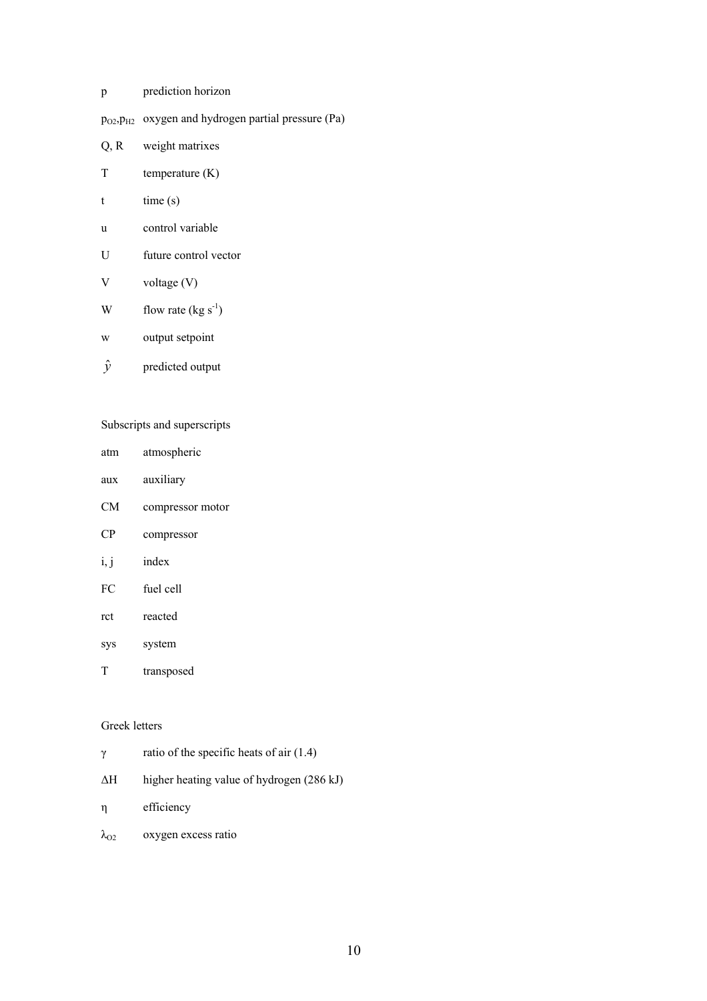- p prediction horizon
- pO2,pH2 oxygen and hydrogen partial pressure (Pa)
- Q, R weight matrixes
- T temperature (K)
- $t$   $time(s)$
- u control variable
- U future control vector
- V voltage (V)
- W flow rate  $(kg s<sup>-1</sup>)$
- w output setpoint
- *y*ˆ predicted output

## Subscripts and superscripts

| atm  | atmospheric      |
|------|------------------|
| aux  | auxiliary        |
| CМ   | compressor motor |
| CР   | compressor       |
| i, j | index            |
| FС   | fuel cell        |
| ret  | reacted          |

- sys system
- T transposed

# Greek letters

| γ                  | ratio of the specific heats of air $(1.4)$ |
|--------------------|--------------------------------------------|
| ΔН                 | higher heating value of hydrogen (286 kJ)  |
| η                  | efficiency                                 |
| $\lambda_{\rm O2}$ | oxygen excess ratio                        |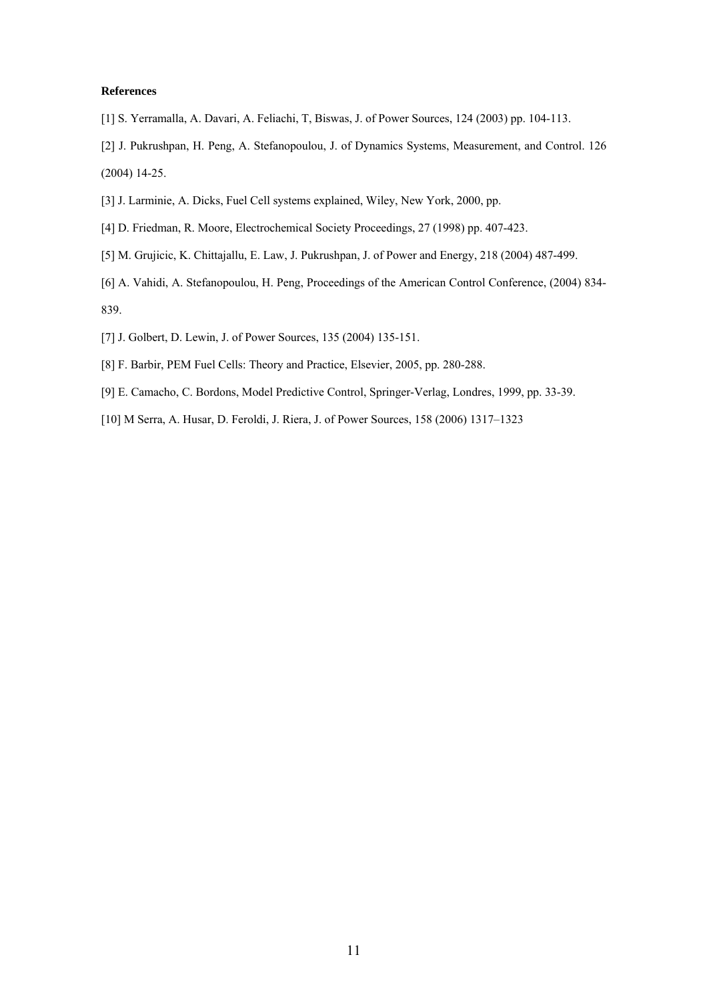### **References**

- [1] S. Yerramalla, A. Davari, A. Feliachi, T, Biswas, J. of Power Sources, 124 (2003) pp. 104-113.
- [2] J. Pukrushpan, H. Peng, A. Stefanopoulou, J. of Dynamics Systems, Measurement, and Control. 126 (2004) 14-25.
- [3] J. Larminie, A. Dicks, Fuel Cell systems explained, Wiley, New York, 2000, pp.
- [4] D. Friedman, R. Moore, Electrochemical Society Proceedings, 27 (1998) pp. 407-423.
- [5] M. Grujicic, K. Chittajallu, E. Law, J. Pukrushpan, J. of Power and Energy, 218 (2004) 487-499.
- [6] A. Vahidi, A. Stefanopoulou, H. Peng, Proceedings of the American Control Conference, (2004) 834- 839.
- [7] J. Golbert, D. Lewin, J. of Power Sources, 135 (2004) 135-151.
- [8] F. Barbir, PEM Fuel Cells: Theory and Practice, Elsevier, 2005, pp. 280-288.
- [9] E. Camacho, C. Bordons, Model Predictive Control, Springer-Verlag, Londres, 1999, pp. 33-39.
- [10] M Serra, A. Husar, D. Feroldi, J. Riera, J. of Power Sources, 158 (2006) 1317–1323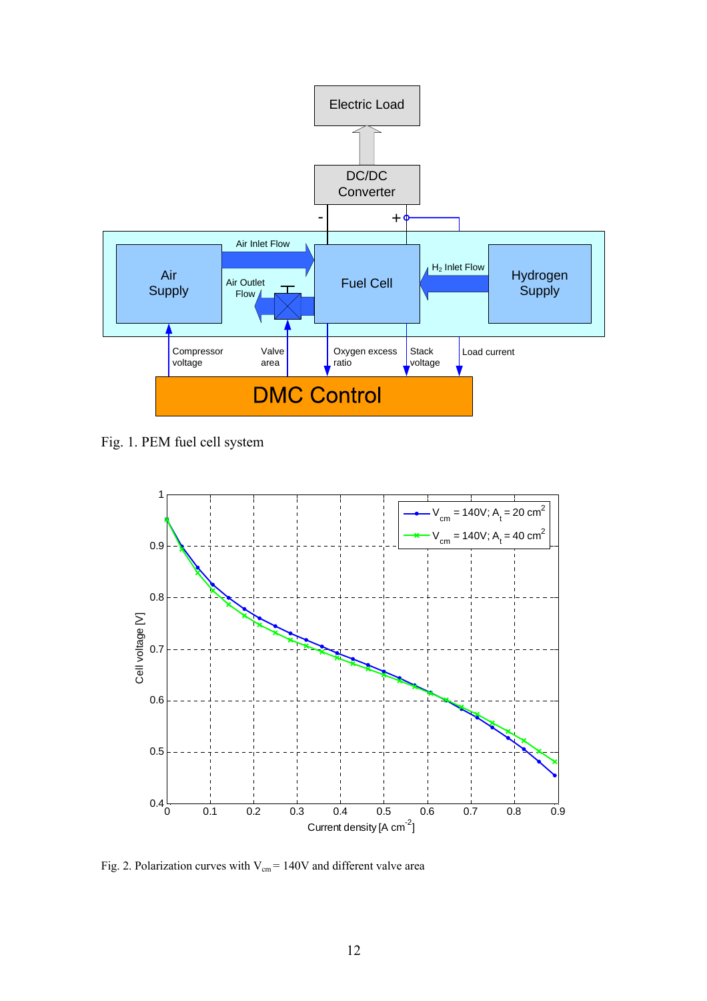

Fig. 1. PEM fuel cell system



Fig. 2. Polarization curves with  $V_{cm} = 140V$  and different valve area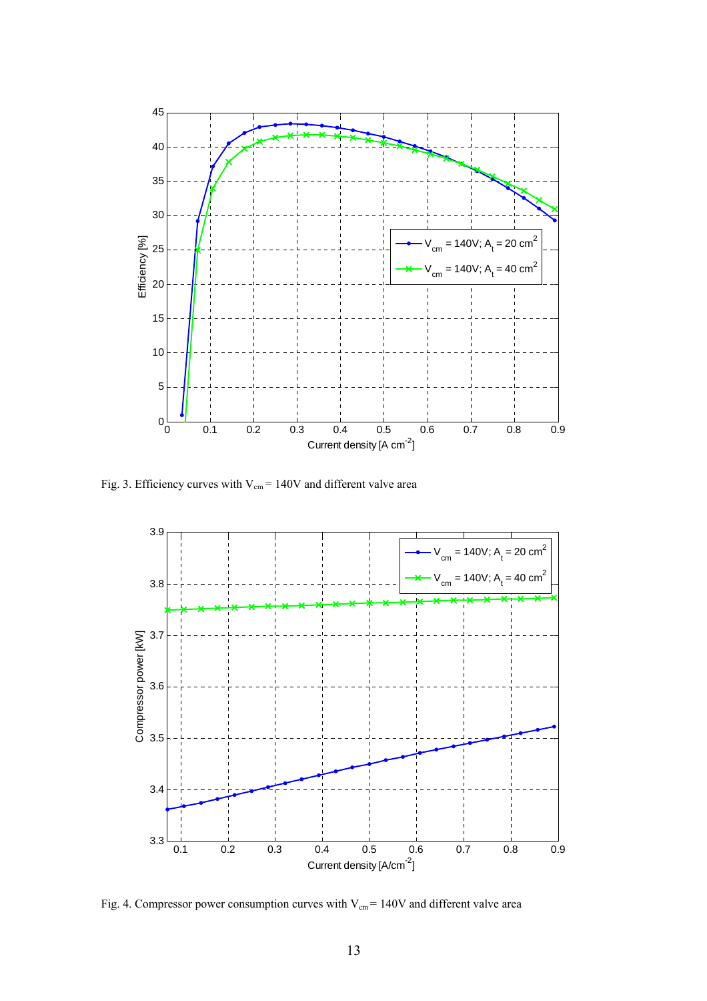

Fig. 3. Efficiency curves with  $V_{cm}$  = 140V and different valve area



Fig. 4. Compressor power consumption curves with  $V_{cm} = 140V$  and different valve area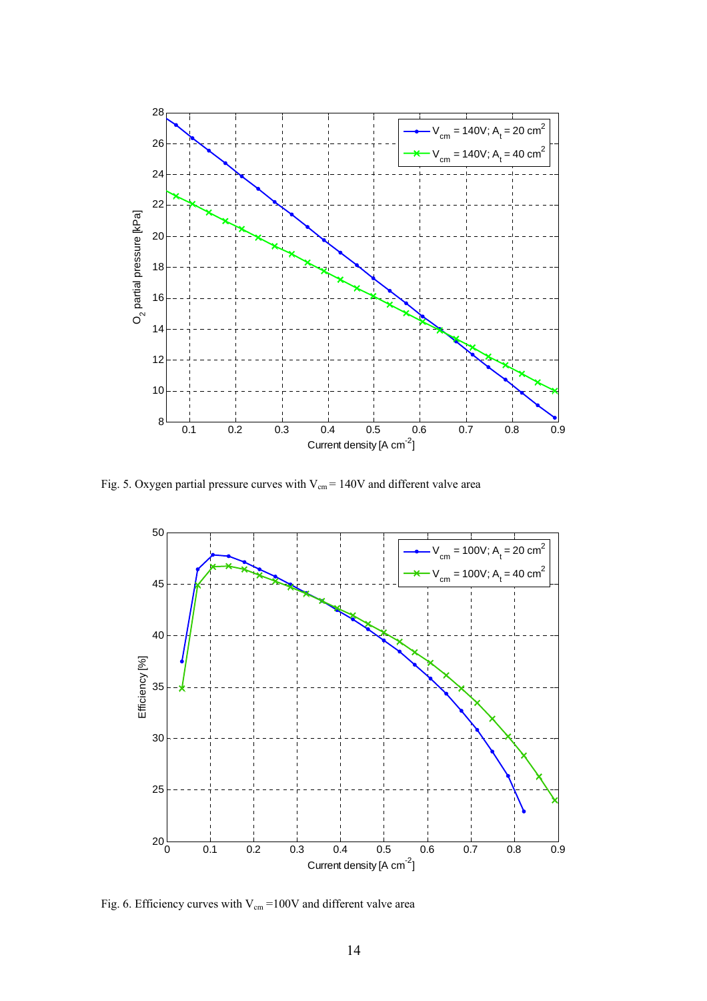![](_page_13_Figure_0.jpeg)

Fig. 5. Oxygen partial pressure curves with  $V_{cm} = 140V$  and different valve area

![](_page_13_Figure_2.jpeg)

Fig. 6. Efficiency curves with  $V_{cm} = 100V$  and different valve area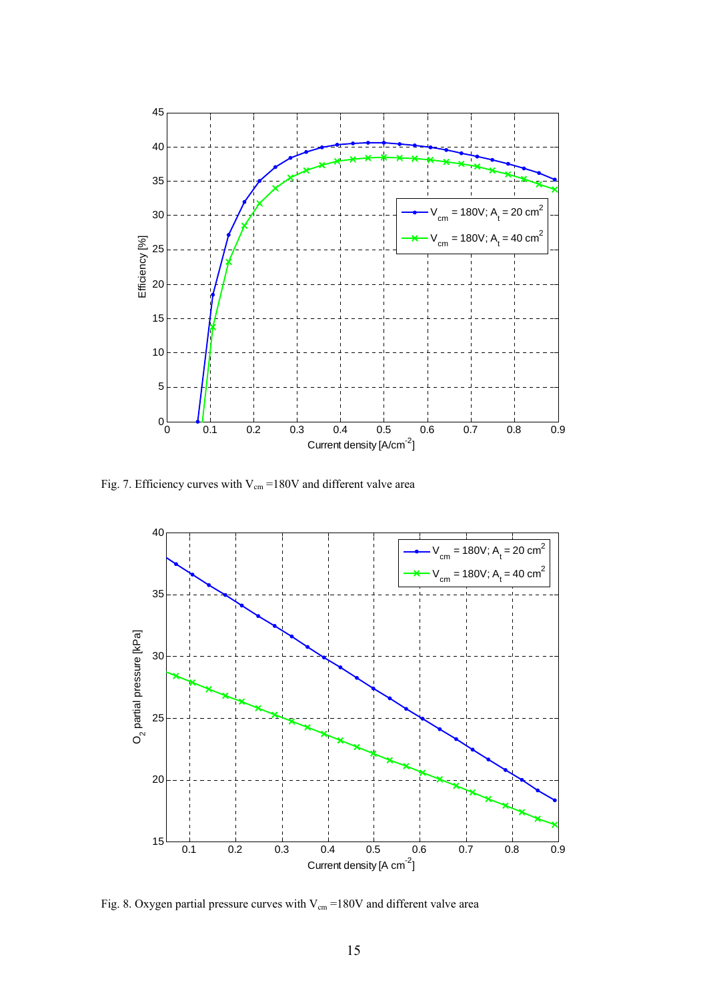![](_page_14_Figure_0.jpeg)

Fig. 7. Efficiency curves with  $V_{cm} = 180V$  and different valve area

![](_page_14_Figure_2.jpeg)

Fig. 8. Oxygen partial pressure curves with  $V_{cm} = 180V$  and different valve area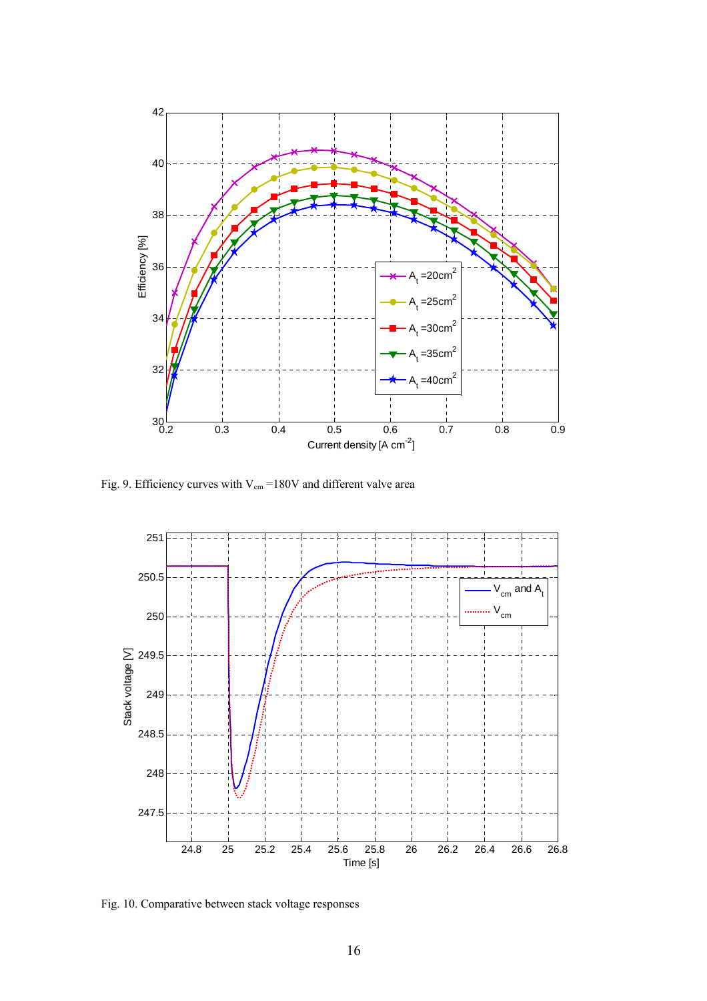![](_page_15_Figure_0.jpeg)

Fig. 9. Efficiency curves with  $V_{cm} = 180V$  and different valve area

![](_page_15_Figure_2.jpeg)

Fig. 10. Comparative between stack voltage responses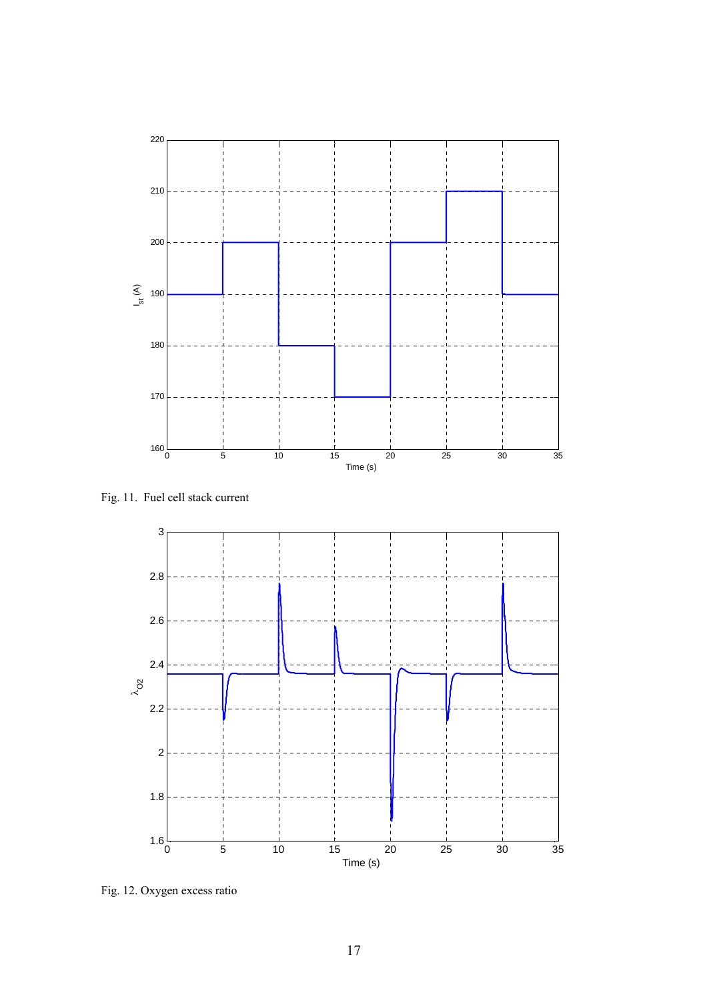![](_page_16_Figure_0.jpeg)

Fig. 11. Fuel cell stack current

![](_page_16_Figure_2.jpeg)

Fig. 12. Oxygen excess ratio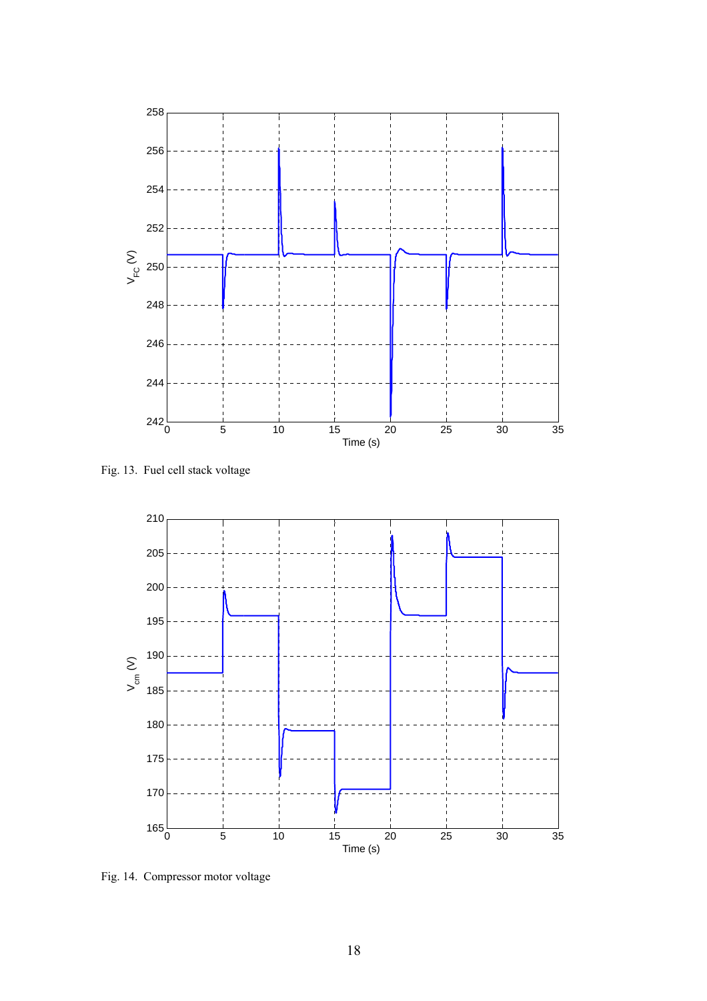![](_page_17_Figure_0.jpeg)

Fig. 13. Fuel cell stack voltage

![](_page_17_Figure_2.jpeg)

Fig. 14. Compressor motor voltage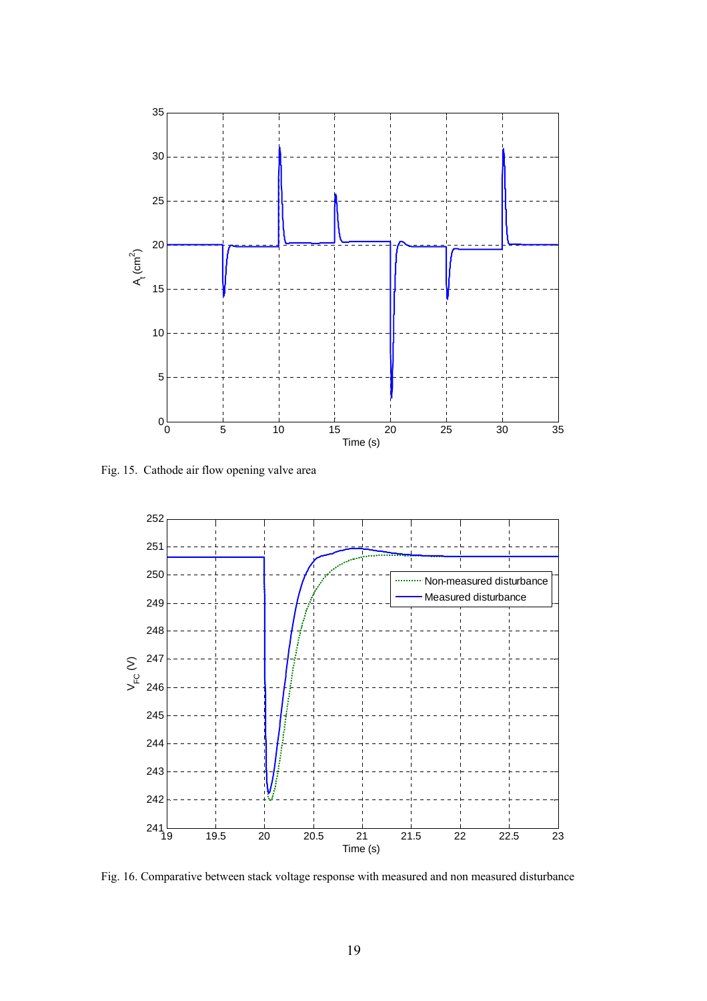![](_page_18_Figure_0.jpeg)

Fig. 15. Cathode air flow opening valve area

![](_page_18_Figure_2.jpeg)

Fig. 16. Comparative between stack voltage response with measured and non measured disturbance